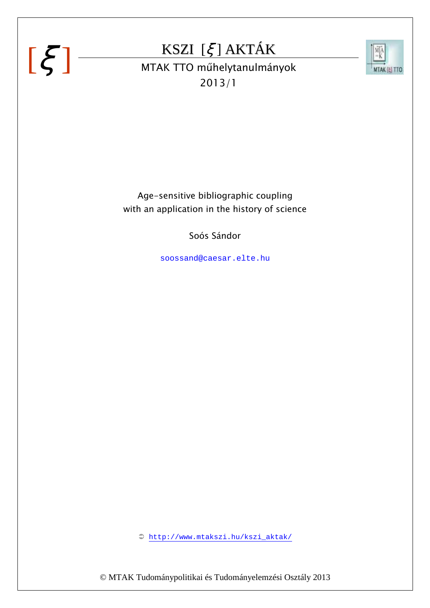### KSZI [ξ ] AKTÁK



 $\left[\xi\right]$  MTAK TTO műhelytanulmányok 2013/1

> Age-sensitive bibliographic coupling with an application in the history of science

> > Soós Sándor

soossand@caesar.elte.hu

http://www.mtakszi.hu/kszi\_aktak/

© MTAK Tudománypolitikai és Tudományelemzési Osztály 2013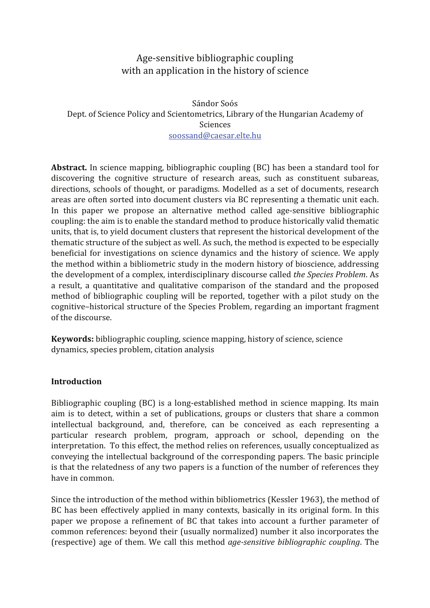#### Age-sensitive bibliographic coupling with an application in the history of science

Sándor Soós Dept. of Science Policy and Scientometrics, Library of the Hungarian Academy of Sciences soossand@caesar.elte.hu

**Abstract.** In science mapping, bibliographic coupling (BC) has been a standard tool for discovering the cognitive structure of research areas, such as constituent subareas, directions, schools of thought, or paradigms. Modelled as a set of documents, research areas are often sorted into document clusters via BC representing a thematic unit each. In this paper we propose an alternative method called age-sensitive bibliographic coupling: the aim is to enable the standard method to produce historically valid thematic units, that is, to yield document clusters that represent the historical development of the thematic structure of the subject as well. As such, the method is expected to be especially beneficial for investigations on science dynamics and the history of science. We apply the method within a bibliometric study in the modern history of bioscience, addressing the development of a complex, interdisciplinary discourse called the Species Problem. As a result, a quantitative and qualitative comparison of the standard and the proposed method of bibliographic coupling will be reported, together with a pilot study on the cognitive-historical structure of the Species Problem, regarding an important fragment of the discourse.

**Keywords:** bibliographic coupling, science mapping, history of science, science dynamics, species problem, citation analysis

#### **Introduction**

Bibliographic coupling (BC) is a long-established method in science mapping. Its main aim is to detect, within a set of publications, groups or clusters that share a common intellectual background, and, therefore, can be conceived as each representing a particular research problem, program, approach or school, depending on the interpretation. To this effect, the method relies on references, usually conceptualized as conveying the intellectual background of the corresponding papers. The basic principle is that the relatedness of any two papers is a function of the number of references they have in common.

Since the introduction of the method within bibliometrics (Kessler 1963), the method of BC has been effectively applied in many contexts, basically in its original form. In this paper we propose a refinement of BC that takes into account a further parameter of common references: beyond their (usually normalized) number it also incorporates the (respective) age of them. We call this method *age-sensitive bibliographic coupling*. The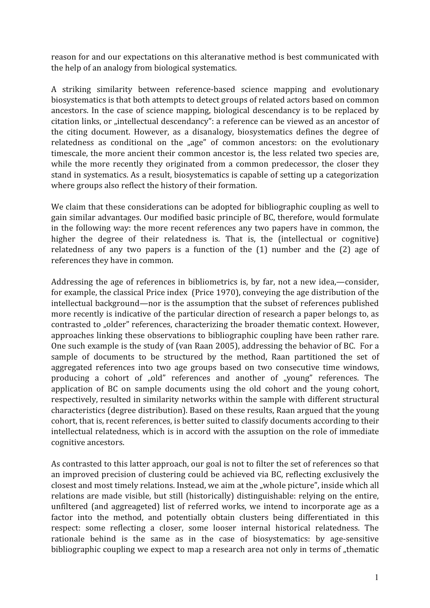reason for and our expectations on this alteranative method is best communicated with the help of an analogy from biological systematics.

A striking similarity between reference-based science mapping and evolutionary biosystematics is that both attempts to detect groups of related actors based on common ancestors. In the case of science mapping, biological descendancy is to be replaced by citation links, or "intellectual descendancy": a reference can be viewed as an ancestor of the citing document. However, as a disanalogy, biosystematics defines the degree of relatedness as conditional on the "age" of common ancestors: on the evolutionary timescale, the more ancient their common ancestor is, the less related two species are, while the more recently they originated from a common predecessor, the closer they stand in systematics. As a result, biosystematics is capable of setting up a categorization where groups also reflect the history of their formation.

We claim that these considerations can be adopted for bibliographic coupling as well to gain similar advantages. Our modified basic principle of BC, therefore, would formulate in the following way: the more recent references any two papers have in common, the higher the degree of their relatedness is. That is, the (intellectual or cognitive) relatedness of any two papers is a function of the  $(1)$  number and the  $(2)$  age of references they have in common.

Addressing the age of references in bibliometrics is, by far, not a new idea,—consider, for example, the classical Price index (Price 1970), conveying the age distribution of the intellectual background—nor is the assumption that the subset of references published more recently is indicative of the particular direction of research a paper belongs to, as contrasted to "older" references, characterizing the broader thematic context. However, approaches linking these observations to bibliographic coupling have been rather rare. One such example is the study of (van Raan 2005), addressing the behavior of BC. For a sample of documents to be structured by the method, Raan partitioned the set of aggregated references into two age groups based on two consecutive time windows, producing a cohort of "old" references and another of "young" references. The application of BC on sample documents using the old cohort and the young cohort, respectively, resulted in similarity networks within the sample with different structural characteristics (degree distribution). Based on these results, Raan argued that the young cohort, that is, recent references, is better suited to classify documents according to their intellectual relatedness, which is in accord with the assuption on the role of immediate cognitive ancestors.

As contrasted to this latter approach, our goal is not to filter the set of references so that an improved precision of clustering could be achieved via BC, reflecting exclusively the closest and most timely relations. Instead, we aim at the "whole picture", inside which all relations are made visible, but still (historically) distinguishable: relying on the entire, unfiltered (and aggreageted) list of referred works, we intend to incorporate age as a factor into the method, and potentially obtain clusters being differentiated in this respect: some reflecting a closer, some looser internal historical relatedness. The rationale behind is the same as in the case of biosystematics: by age-sensitive bibliographic coupling we expect to map a research area not only in terms of "thematic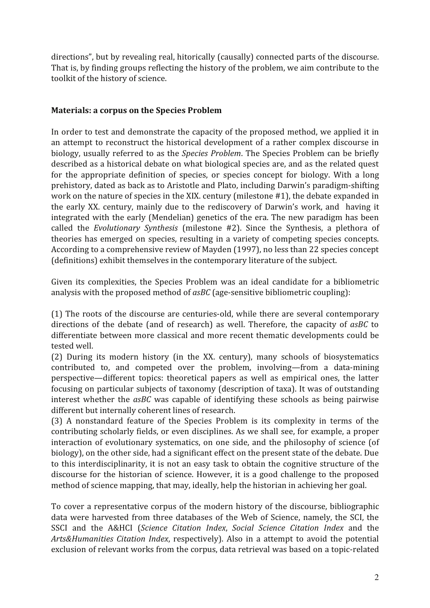directions", but by revealing real, hitorically (causally) connected parts of the discourse. That is, by finding groups reflecting the history of the problem, we aim contribute to the toolkit of the history of science.

#### **Materials: a corpus on the Species Problem**

In order to test and demonstrate the capacity of the proposed method, we applied it in an attempt to reconstruct the historical development of a rather complex discourse in biology, usually referred to as the Species Problem. The Species Problem can be briefly described as a historical debate on what biological species are, and as the related quest for the appropriate definition of species, or species concept for biology. With a long prehistory, dated as back as to Aristotle and Plato, including Darwin's paradigm-shifting work on the nature of species in the XIX. century (milestone #1), the debate expanded in the early XX. century, mainly due to the rediscovery of Darwin's work, and having it integrated with the early (Mendelian) genetics of the era. The new paradigm has been called the *Evolutionary Synthesis* (milestone #2). Since the Synthesis, a plethora of theories has emerged on species, resulting in a variety of competing species concepts. According to a comprehensive review of Mayden (1997), no less than 22 species concept (definitions) exhibit themselves in the contemporary literature of the subject.

Given its complexities, the Species Problem was an ideal candidate for a bibliometric analysis with the proposed method of asBC (age-sensitive bibliometric coupling):

(1) The roots of the discourse are centuries-old, while there are several contemporary directions of the debate (and of research) as well. Therefore, the capacity of asBC to differentiate between more classical and more recent thematic developments could be tested well.

(2) During its modern history (in the XX. century), many schools of biosystematics contributed to, and competed over the problem, involving—from a data-mining perspective—different topics: theoretical papers as well as empirical ones, the latter focusing on particular subjects of taxonomy (description of taxa). It was of outstanding interest whether the asBC was capable of identifying these schools as being pairwise different but internally coherent lines of research.

(3) A nonstandard feature of the Species Problem is its complexity in terms of the contributing scholarly fields, or even disciplines. As we shall see, for example, a proper interaction of evolutionary systematics, on one side, and the philosophy of science (of biology), on the other side, had a significant effect on the present state of the debate. Due to this interdisciplinarity, it is not an easy task to obtain the cognitive structure of the discourse for the historian of science. However, it is a good challenge to the proposed method of science mapping, that may, ideally, help the historian in achieving her goal.

To cover a representative corpus of the modern history of the discourse, bibliographic data were harvested from three databases of the Web of Science, namely, the SCI, the SSCI and the A&HCI (Science Citation Index, Social Science Citation Index and the Arts&Humanities Citation Index, respectively). Also in a attempt to avoid the potential exclusion of relevant works from the corpus, data retrieval was based on a topic-related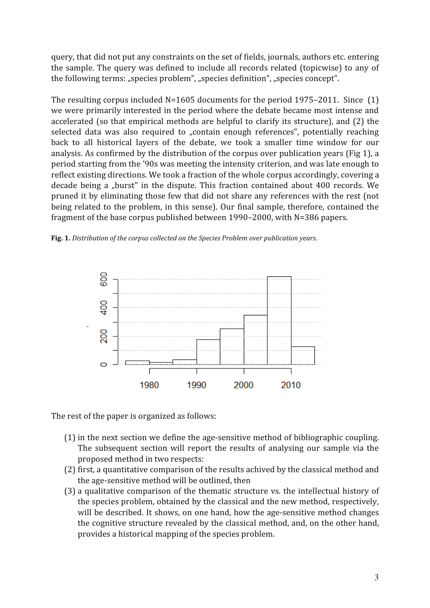query, that did not put any constraints on the set of fields, journals, authors etc. entering the sample. The query was defined to include all records related (topicwise) to any of the following terms: "species problem", "species definition", "species concept".

The resulting corpus included  $N=1605$  documents for the period 1975–2011. Since  $(1)$ we were primarily interested in the period where the debate became most intense and accelerated (so that empirical methods are helpful to clarify its structure), and (2) the selected data was also required to "contain enough references", potentially reaching back to all historical layers of the debate, we took a smaller time window for our analysis. As confirmed by the distribution of the corpus over publication years (Fig 1), a period starting from the '90s was meeting the intensity criterion, and was late enough to reflect existing directions. We took a fraction of the whole corpus accordingly, covering a decade being a "burst" in the dispute. This fraction contained about 400 records. We pruned it by eliminating those few that did not share any references with the rest (not being related to the problem, in this sense). Our final sample, therefore, contained the fragment of the base corpus published between 1990–2000, with N=386 papers.





The rest of the paper is organized as follows:

- (1) in the next section we define the age-sensitive method of bibliographic coupling. The subsequent section will report the results of analysing our sample via the proposed method in two respects:
- (2) first, a quantitative comparison of the results achived by the classical method and the age-sensitive method will be outlined, then
- (3) a qualitative comparison of the thematic structure vs. the intellectual history of the species problem, obtained by the classical and the new method, respectively, will be described. It shows, on one hand, how the age-sensitive method changes the cognitive structure revealed by the classical method, and, on the other hand, provides a historical mapping of the species problem.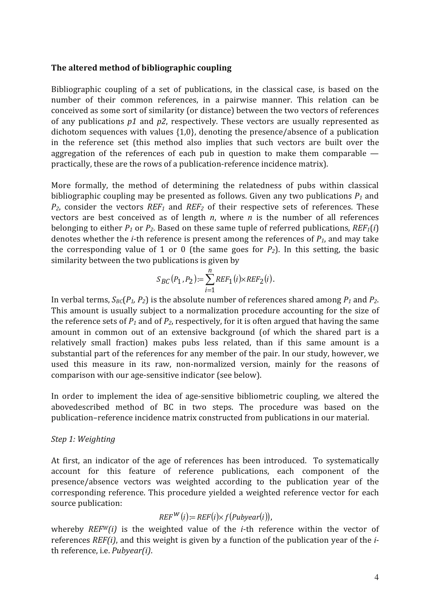#### The altered method of bibliographic coupling

Bibliographic coupling of a set of publications, in the classical case, is based on the number of their common references, in a pairwise manner. This relation can be conceived as some sort of similarity (or distance) between the two vectors of references of any publications  $p1$  and  $p2$ , respectively. These vectors are usually represented as dichotom sequences with values  $\{1,0\}$ , denoting the presence/absence of a publication in the reference set (this method also implies that such vectors are built over the aggregation of the references of each pub in question to make them comparable  $$ practically, these are the rows of a publication-reference incidence matrix).

More formally, the method of determining the relatedness of pubs within classical bibliographic coupling may be presented as follows. Given any two publications  $P_1$  and  $P_2$ , consider the vectors  $REF_1$  and  $REF_2$  of their respective sets of references. These vectors are best conceived as of length  $n$ , where  $n$  is the number of all references belonging to either  $P_1$  or  $P_2$ . Based on these same tuple of referred publications,  $REF_1(i)$ denotes whether the *i*-th reference is present among the references of  $P_1$ , and may take the corresponding value of 1 or 0 (the same goes for  $P_2$ ). In this setting, the basic similarity between the two publications is given by

$$
S_{BC}(P_1, P_2) := \sum_{i=1}^{n} REF_1(i) \times REF_2(i).
$$

In verbal terms,  $S_{BC}(P_1, P_2)$  is the absolute number of references shared among  $P_1$  and  $P_2$ . This amount is usually subject to a normalization procedure accounting for the size of the reference sets of  $P_1$  and of  $P_2$ , respectively, for it is often argued that having the same amount in common out of an extensive background (of which the shared part is a relatively small fraction) makes pubs less related, than if this same amount is a substantial part of the references for any member of the pair. In our study, however, we used this measure in its raw, non-normalized version, mainly for the reasons of comparison with our age-sensitive indicator (see below).

In order to implement the idea of age-sensitive bibliometric coupling, we altered the abovedescribed method of BC in two steps. The procedure was based on the publication-reference incidence matrix constructed from publications in our material.

#### Step 1: Weighting

At first, an indicator of the age of references has been introduced. To systematically account for this feature of reference publications, each component of the presence/absence vectors was weighted according to the publication year of the corresponding reference. This procedure yielded a weighted reference vector for each source publication:

#### $REF^{W}(i):=REF(i)\times f(Pubyear(i)),$

whereby  $REFW(i)$  is the weighted value of the *i*-th reference within the vector of references REF(i), and this weight is given by a function of the publication year of the *i*th reference, *i.e. Pubvear(i)*.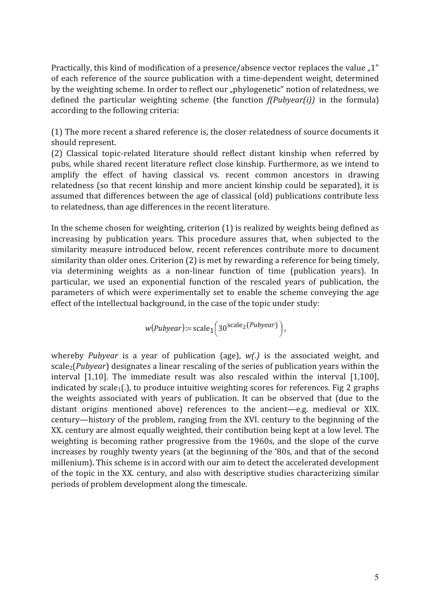Practically, this kind of modification of a presence/absence vector replaces the value "1" of each reference of the source publication with a time-dependent weight, determined by the weighting scheme. In order to reflect our "phylogenetic" notion of relatedness, we defined the particular weighting scheme (the function  $f(Pubyear(i))$  in the formula) according to the following criteria:

(1) The more recent a shared reference is, the closer relatedness of source documents it should represent.

(2) Classical topic-related literature should reflect distant kinship when referred by pubs, while shared recent literature reflect close kinship. Furthermore, as we intend to amplify the effect of having classical vs. recent common ancestors in drawing relatedness (so that recent kinship and more ancient kinship could be separated), it is assumed that differences between the age of classical (old) publications contribute less to relatedness, than age differences in the recent literature.

In the scheme chosen for weighting, criterion (1) is realized by weights being defined as increasing by publication years. This procedure assures that, when subjected to the similarity measure introduced below, recent references contribute more to document similarity than older ones. Criterion (2) is met by rewarding a reference for being timely, via determining weights as a non-linear function of time (publication years). In particular, we used an exponential function of the rescaled years of publication, the parameters of which were experimentally set to enable the scheme conveying the age effect of the intellectual background, in the case of the topic under study:

$$
w(Pubyear) := scale_1(30^{scale_2(Pubyear)}),
$$

whereby *Pubyear* is a year of publication (age),  $w(.)$  is the associated weight, and scale<sub>2</sub>(*Pubyear*) designates a linear rescaling of the series of publication years within the interval [1.10]. The immediate result was also rescaled within the interval [1.100]. indicated by scale<sub>1</sub>(.), to produce intuitive weighting scores for references. Fig 2 graphs the weights associated with years of publication. It can be observed that (due to the distant origins mentioned above) references to the ancient-e.g. medieval or XIX. century—history of the problem, ranging from the XVI. century to the beginning of the XX. century are almost equally weighted, their contibution being kept at a low level. The weighting is becoming rather progressive from the 1960s, and the slope of the curve increases by roughly twenty years (at the beginning of the '80s, and that of the second millenium). This scheme is in accord with our aim to detect the accelerated development of the topic in the XX. century, and also with descriptive studies characterizing similar periods of problem development along the timescale.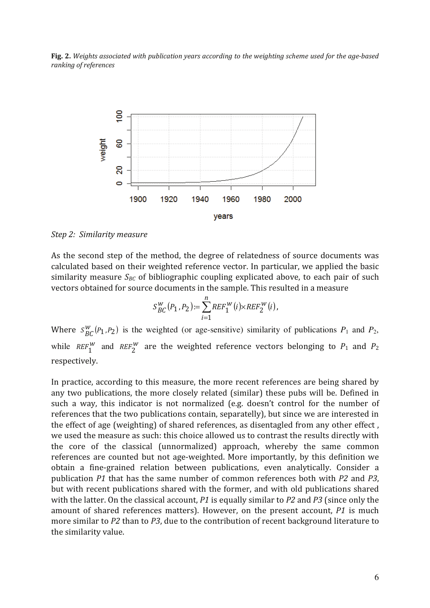Fig. 2. Weights associated with publication years according to the weighting scheme used for the age-based ranking of references



Step 2: Similarity measure

As the second step of the method, the degree of relatedness of source documents was calculated based on their weighted reference vector. In particular, we applied the basic similarity measure  $S_{BC}$  of bibliographic coupling explicated above, to each pair of such vectors obtained for source documents in the sample. This resulted in a measure

$$
S_{BC}^{W}(P_1, P_2) := \sum_{i=1}^{n} REF_1^{W}(i) \times REF_2^{W}(i),
$$

Where  $S_{BC}^{W}(P_1, P_2)$  is the weighted (or age-sensitive) similarity of publications  $P_1$  and  $P_2$ , while  $REF_1^W$  and  $REF_2^W$  are the weighted reference vectors belonging to  $P_1$  and  $P_2$ respectively.

In practice, according to this measure, the more recent references are being shared by any two publications, the more closely related (similar) these pubs will be. Defined in such a way, this indicator is not normalized (e.g. doesn't control for the number of references that the two publications contain, separatelly), but since we are interested in the effect of age (weighting) of shared references, as disentagled from any other effect, we used the measure as such: this choice allowed us to contrast the results directly with the core of the classical (unnormalized) approach, whereby the same common references are counted but not age-weighted. More importantly, by this definition we obtain a fine-grained relation between publications, even analytically. Consider a publication P1 that has the same number of common references both with P2 and P3. but with recent publications shared with the former, and with old publications shared with the latter. On the classical account,  $P1$  is equally similar to  $P2$  and  $P3$  (since only the amount of shared references matters). However, on the present account, P1 is much more similar to P2 than to P3, due to the contribution of recent background literature to the similarity value.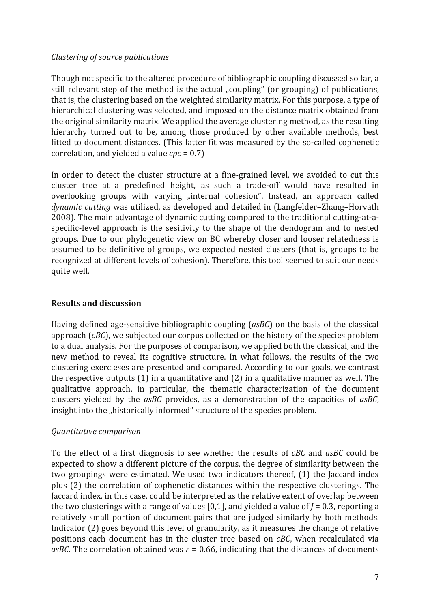#### Clustering of source publications

Though not specific to the altered procedure of bibliographic coupling discussed so far, a still relevant step of the method is the actual "coupling" (or grouping) of publications, that is, the clustering based on the weighted similarity matrix. For this purpose, a type of hierarchical clustering was selected, and imposed on the distance matrix obtained from the original similarity matrix. We applied the average clustering method, as the resulting hierarchy turned out to be, among those produced by other available methods, best fitted to document distances. (This latter fit was measured by the so-called cophenetic correlation, and yielded a value  $cpc = 0.7$ )

In order to detect the cluster structure at a fine-grained level, we avoided to cut this cluster tree at a predefined height, as such a trade-off would have resulted in overlooking groups with varving "internal cohesion". Instead, an approach called dynamic cutting was utilized, as developed and detailed in (Langfelder-Zhang-Horvath 2008). The main advantage of dynamic cutting compared to the traditional cutting-at-aspecific-level approach is the sesitivity to the shape of the dendogram and to nested groups. Due to our phylogenetic view on BC whereby closer and looser relatedness is assumed to be definitive of groups, we expected nested clusters (that is, groups to be recognized at different levels of cohesion). Therefore, this tool seemed to suit our needs quite well.

#### **Results and discussion**

Having defined age-sensitive bibliographic coupling (asBC) on the basis of the classical approach  $(cBC)$ , we subjected our corpus collected on the history of the species problem to a dual analysis. For the purposes of comparison, we applied both the classical, and the new method to reveal its cognitive structure. In what follows, the results of the two clustering exercieses are presented and compared. According to our goals, we contrast the respective outputs  $(1)$  in a quantitative and  $(2)$  in a qualitative manner as well. The qualitative approach, in particular, the thematic characterization of the document clusters vielded by the  $a$ s $b$ C provides, as a demonstration of the capacities of  $a$ s $b$ C. insight into the "historically informed" structure of the species problem.

#### Quantitative comparison

To the effect of a first diagnosis to see whether the results of *cBC* and *asBC* could be expected to show a different picture of the corpus, the degree of similarity between the two groupings were estimated. We used two indicators thereof, (1) the Jaccard index plus (2) the correlation of cophenetic distances within the respective clusterings. The Jaccard index, in this case, could be interpreted as the relative extent of overlap between the two clusterings with a range of values [0,1], and yielded a value of  $J = 0.3$ , reporting a relatively small portion of document pairs that are judged similarly by both methods. Indicator (2) goes beyond this level of granularity, as it measures the change of relative positions each document has in the cluster tree based on *cBC*, when recalculated via asBC. The correlation obtained was  $r = 0.66$ , indicating that the distances of documents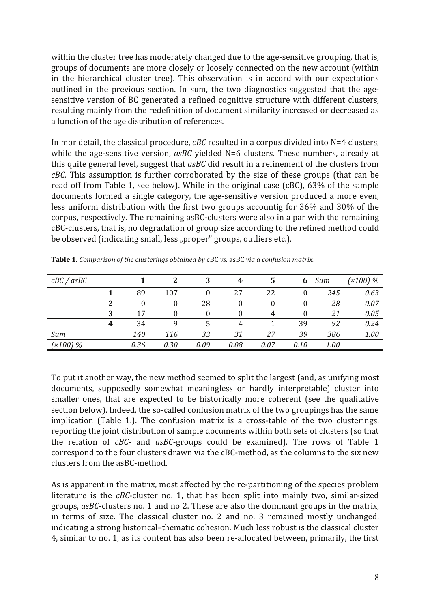within the cluster tree has moderately changed due to the age-sensitive grouping, that is, groups of documents are more closely or loosely connected on the new account (within in the hierarchical cluster tree). This observation is in accord with our expectations outlined in the previous section. In sum, the two diagnostics suggested that the agesensitive version of BC generated a refined cognitive structure with different clusters, resulting mainly from the redefinition of document similarity increased or decreased as a function of the age distribution of references.

In mor detail, the classical procedure,  $cBC$  resulted in a corpus divided into  $N=4$  clusters, while the age-sensitive version,  $a$ sBC yielded N=6 clusters. These numbers, already at this quite general level, suggest that as BC did result in a refinement of the clusters from  $cBC$ . This assumption is further corroborated by the size of these groups (that can be read off from Table 1, see below). While in the original case (cBC), 63% of the sample documents formed a single category, the age-sensitive version produced a more even, less uniform distribution with the first two groups accountig for 36% and 30% of the corpus, respectively. The remaining asBC-clusters were also in a par with the remaining cBC-clusters, that is, no degradation of group size according to the refined method could be observed (indicating small, less "proper" groups, outliers etc.).

| cBC/asBC   |   |      | 2    | 3    | 4    | 5    | 6    | Sum  | $(x100)$ % |
|------------|---|------|------|------|------|------|------|------|------------|
|            |   | 89   | 107  |      | 27   | 22   |      | 245  | 0.63       |
|            |   |      | 0    | 28   |      | 0    |      | 28   | 0.07       |
|            |   | 17   |      |      |      | 4    |      | 21   | 0.05       |
|            | 4 | 34   | q    |      |      |      | 39   | 92   | 0.24       |
| Sum        |   | 140  | 116  | 33   | 31   | 27   | 39   | 386  | 1.00       |
| $(x100)$ % |   | 0.36 | 0.30 | 0.09 | 0.08 | 0.07 | 0.10 | 1.00 |            |

Table 1. Comparison of the clusterings obtained by cBC vs. asBC via a confusion matrix.

To put it another way, the new method seemed to split the largest (and, as unifying most documents, supposedly somewhat meaningless or hardly interpretable) cluster into smaller ones, that are expected to be historically more coherent (see the qualitative section below). Indeed, the so-called confusion matrix of the two groupings has the same implication (Table 1.). The confusion matrix is a cross-table of the two clusterings, reporting the joint distribution of sample documents within both sets of clusters (so that the relation of  $cBC$ - and  $asBC$ -groups could be examined). The rows of Table 1 correspond to the four clusters drawn via the cBC-method, as the columns to the six new clusters from the asBC-method.

As is apparent in the matrix, most affected by the re-partitioning of the species problem literature is the  $cBC$ -cluster no. 1, that has been split into mainly two, similar-sized groups, asBC-clusters no. 1 and no 2. These are also the dominant groups in the matrix, in terms of size. The classical cluster no. 2 and no. 3 remained mostly unchanged, indicating a strong historical-thematic cohesion. Much less robust is the classical cluster 4, similar to no. 1, as its content has also been re-allocated between, primarily, the first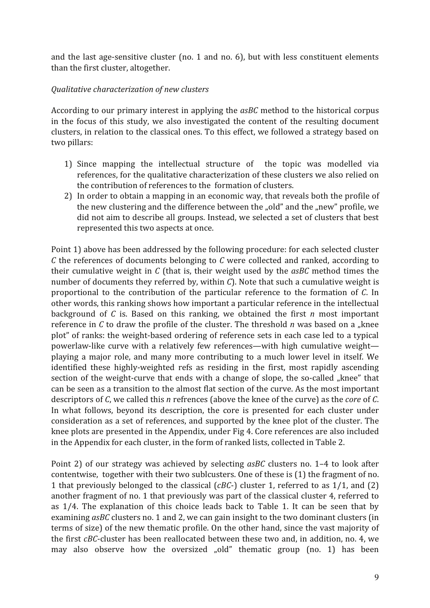and the last age-sensitive cluster (no. 1 and no. 6), but with less constituent elements than the first cluster, altogether.

#### Qualitative characterization of new clusters

According to our primary interest in applying the asBC method to the historical corpus in the focus of this study, we also investigated the content of the resulting document clusters, in relation to the classical ones. To this effect, we followed a strategy based on two pillars:

- 1) Since mapping the intellectual structure of the topic was modelled via references, for the qualitative characterization of these clusters we also relied on the contribution of references to the formation of clusters.
- 2) In order to obtain a mapping in an economic way, that reveals both the profile of the new clustering and the difference between the "old" and the "new" profile, we did not aim to describe all groups. Instead, we selected a set of clusters that best represented this two aspects at once.

Point 1) above has been addressed by the following procedure: for each selected cluster  $C$  the references of documents belonging to  $C$  were collected and ranked, according to their cumulative weight in  $C$  (that is, their weight used by the  $asBC$  method times the number of documents they referred by, within  $C$ ). Note that such a cumulative weight is proportional to the contribution of the particular reference to the formation of C. In other words, this ranking shows how important a particular reference in the intellectual background of  $C$  is. Based on this ranking, we obtained the first  $n$  most important reference in C to draw the profile of the cluster. The threshold  $n$  was based on a "knee plot" of ranks: the weight-based ordering of reference sets in each case led to a typical powerlaw-like curve with a relatively few references—with high cumulative weight playing a major role, and many more contributing to a much lower level in itself. We identified these highly-weighted refs as residing in the first, most rapidly ascending section of the weight-curve that ends with a change of slope, the so-called "knee" that can be seen as a transition to the almost flat section of the curve. As the most important descriptors of C, we called this n refrences (above the knee of the curve) as the *core* of C. In what follows, beyond its description, the core is presented for each cluster under consideration as a set of references, and supported by the knee plot of the cluster. The knee plots are presented in the Appendix, under Fig 4. Core references are also included in the Appendix for each cluster, in the form of ranked lists, collected in Table 2.

Point 2) of our strategy was achieved by selecting asBC clusters no. 1–4 to look after contentwise, together with their two sublcusters. One of these is (1) the fragment of no. 1 that previously belonged to the classical ( $cBC$ -) cluster 1, referred to as  $1/1$ , and (2) another fragment of no. 1 that previously was part of the classical cluster 4, referred to as 1/4. The explanation of this choice leads back to Table 1. It can be seen that by examining asBC clusters no. 1 and 2, we can gain insight to the two dominant clusters (in terms of size) of the new thematic profile. On the other hand, since the vast majority of the first cBC-cluster has been reallocated between these two and, in addition, no. 4, we may also observe how the oversized "old" thematic group (no. 1) has been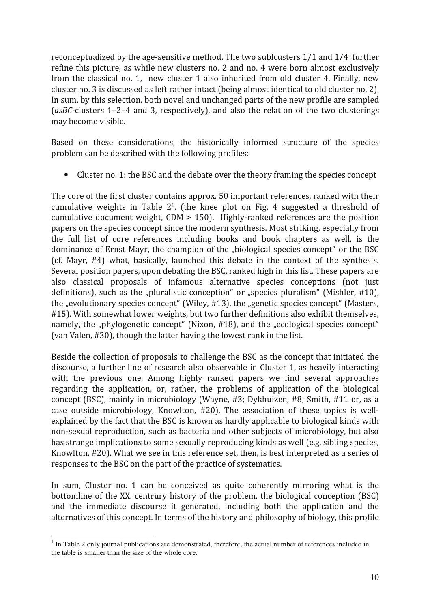reconceptualized by the age-sensitive method. The two sublcusters 1/1 and 1/4 further refine this picture, as while new clusters no. 2 and no. 4 were born almost exclusively from the classical no. 1, new cluster 1 also inherited from old cluster 4. Finally, new cluster no. 3 is discussed as left rather intact (being almost identical to old cluster no. 2). In sum, by this selection, both novel and unchanged parts of the new profile are sampled  $(asBC-clusters 1-2-4 and 3, respectively)$ , and also the relation of the two clusterings may become visible.

Based on these considerations, the historically informed structure of the species problem can be described with the following profiles:

• Cluster no. 1: the BSC and the debate over the theory framing the species concept

The core of the first cluster contains approx. 50 important references, ranked with their cumulative weights in Table  $2<sup>1</sup>$ . (the knee plot on Fig. 4 suggested a threshold of cumulative document weight,  $CDM > 150$ ). Highly-ranked references are the position papers on the species concept since the modern synthesis. Most striking, especially from the full list of core references including books and book chapters as well, is the dominance of Ernst Mayr, the champion of the "biological species concept" or the BSC (cf. Mayr, #4) what, basically, launched this debate in the context of the synthesis. Several position papers, upon debating the BSC, ranked high in this list. These papers are also classical proposals of infamous alternative species conceptions (not just definitions), such as the "pluralistic conception" or "species pluralism" (Mishler, #10), the "evolutionary species concept" (Wiley, #13), the "genetic species concept" (Masters, #15). With somewhat lower weights, but two further definitions also exhibit themselves, namely, the "phylogenetic concept" (Nixon, #18), and the "ecological species concept" (van Valen, #30), though the latter having the lowest rank in the list.

Beside the collection of proposals to challenge the BSC as the concept that initiated the discourse, a further line of research also observable in Cluster 1, as heavily interacting with the previous one. Among highly ranked papers we find several approaches regarding the application, or, rather, the problems of application of the biological concept (BSC), mainly in microbiology (Wayne, #3; Dykhuizen, #8; Smith, #11 or, as a case outside microbiology, Knowlton, #20). The association of these topics is wellexplained by the fact that the BSC is known as hardly applicable to biological kinds with non-sexual reproduction, such as bacteria and other subjects of microbiology, but also has strange implications to some sexually reproducing kinds as well (e.g. sibling species, Knowlton, #20). What we see in this reference set, then, is best interpreted as a series of responses to the BSC on the part of the practice of systematics.

In sum, Cluster no. 1 can be conceived as quite coherently mirroring what is the bottomline of the XX, centrury history of the problem, the biological conception (BSC) and the immediate discourse it generated, including both the application and the alternatives of this concept. In terms of the history and philosophy of biology, this profile

 $1$  In Table 2 only journal publications are demonstrated, therefore, the actual number of references included in the table is smaller than the size of the whole core.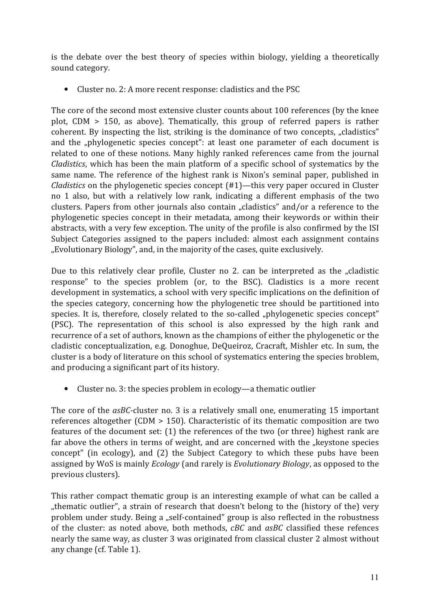is the debate over the best theory of species within biology, yielding a theoretically sound category.

• Cluster no. 2: A more recent response: cladistics and the PSC

The core of the second most extensive cluster counts about 100 references (by the knee plot, CDM  $> 150$ , as above). Thematically, this group of referred papers is rather coherent. By inspecting the list, striking is the dominance of two concepts, "cladistics" and the "phylogenetic species concept": at least one parameter of each document is related to one of these notions. Many highly ranked references came from the journal Cladistics, which has been the main platform of a specific school of systematics by the same name. The reference of the highest rank is Nixon's seminal paper, published in *Cladistics* on the phylogenetic species concept  $(\#1)$ —this very paper occured in Cluster no 1 also, but with a relatively low rank, indicating a different emphasis of the two clusters. Papers from other journals also contain "cladistics" and/or a reference to the phylogenetic species concept in their metadata, among their keywords or within their abstracts, with a very few exception. The unity of the profile is also confirmed by the ISI Subject Categories assigned to the papers included: almost each assignment contains "Evolutionary Biology", and, in the majority of the cases, quite exclusively.

Due to this relatively clear profile, Cluster no 2. can be interpreted as the "cladistic response" to the species problem (or, to the BSC). Cladistics is a more recent development in systematics, a school with very specific implications on the definition of the species category, concerning how the phylogenetic tree should be partitioned into species. It is, therefore, closely related to the so-called "phylogenetic species concept" (PSC). The representation of this school is also expressed by the high rank and recurrence of a set of authors, known as the champions of either the phylogenetic or the cladistic conceptualization, e.g. Donoghue, DeQueiroz, Cracraft, Mishler etc. In sum, the cluster is a body of literature on this school of systematics entering the species broblem, and producing a significant part of its history.

• Cluster no. 3: the species problem in ecology—a thematic outlier

The core of the asBC-cluster no. 3 is a relatively small one, enumerating 15 important references altogether (CDM  $> 150$ ). Characteristic of its thematic composition are two features of the document set: (1) the references of the two (or three) highest rank are far above the others in terms of weight, and are concerned with the "keystone species concept" (in ecology), and (2) the Subject Category to which these pubs have been assigned by WoS is mainly *Ecology* (and rarely is *Evolutionary Biology*, as opposed to the previous clusters).

This rather compact thematic group is an interesting example of what can be called a "thematic outlier", a strain of research that doesn't belong to the (history of the) very problem under study. Being a "self-contained" group is also reflected in the robustness of the cluster: as noted above, both methods, cBC and asBC classified these refences nearly the same way, as cluster 3 was originated from classical cluster 2 almost without any change (cf. Table 1).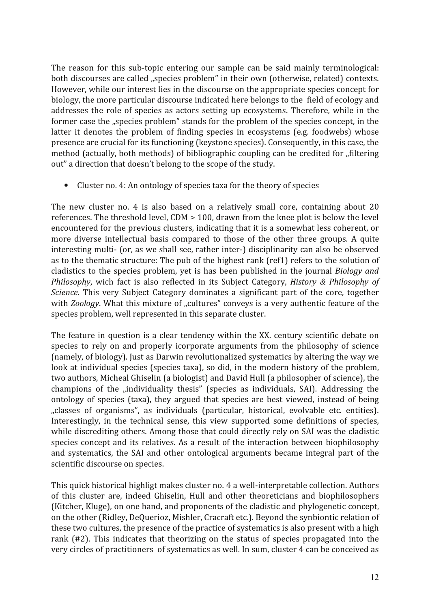The reason for this sub-topic entering our sample can be said mainly terminological: both discourses are called "species problem" in their own (otherwise, related) contexts. However, while our interest lies in the discourse on the appropriate species concept for biology, the more particular discourse indicated here belongs to the field of ecology and addresses the role of species as actors setting up ecosystems. Therefore, while in the former case the "species problem" stands for the problem of the species concept, in the latter it denotes the problem of finding species in ecosystems (e.g. foodwebs) whose presence are crucial for its functioning (keystone species). Consequently, in this case, the method (actually, both methods) of bibliographic coupling can be credited for "filtering out" a direction that doesn't belong to the scope of the study.

Cluster no. 4: An ontology of species taxa for the theory of species  $\bullet$ 

The new cluster no. 4 is also based on a relatively small core, containing about 20 references. The threshold level, CDM > 100, drawn from the knee plot is below the level encountered for the previous clusters, indicating that it is a somewhat less coherent, or more diverse intellectual basis compared to those of the other three groups. A quite interesting multi- (or, as we shall see, rather inter-) disciplinarity can also be observed as to the thematic structure: The pub of the highest rank (ref1) refers to the solution of cladistics to the species problem, yet is has been published in the journal *Biology and* Philosophy, wich fact is also reflected in its Subject Category, History & Philosophy of Science. This very Subject Category dominates a significant part of the core, together with Zoology. What this mixture of "cultures" conveys is a very authentic feature of the species problem, well represented in this separate cluster.

The feature in question is a clear tendency within the XX. century scientific debate on species to rely on and properly icorporate arguments from the philosophy of science (namely, of biology). Just as Darwin revolutionalized systematics by altering the way we look at individual species (species taxa), so did, in the modern history of the problem, two authors, Micheal Ghiselin (a biologist) and David Hull (a philosopher of science), the champions of the "individuality thesis" (species as individuals, SAI). Addressing the ontology of species (taxa), they argued that species are best viewed, instead of being "classes of organisms", as individuals (particular, historical, evolvable etc. entities). Interestingly, in the technical sense, this view supported some definitions of species, while discrediting others. Among those that could directly rely on SAI was the cladistic species concept and its relatives. As a result of the interaction between biophilosophy and systematics, the SAI and other ontological arguments became integral part of the scientific discourse on species.

This quick historical highligt makes cluster no. 4 a well-interpretable collection. Authors of this cluster are, indeed Ghiselin, Hull and other theoreticians and biophilosophers (Kitcher, Kluge), on one hand, and proponents of the cladistic and phylogenetic concept, on the other (Ridley, DeQuerioz, Mishler, Cracraft etc.). Beyond the synbiontic relation of these two cultures, the presence of the practice of systematics is also present with a high rank (#2). This indicates that theorizing on the status of species propagated into the very circles of practitioners of systematics as well. In sum, cluster 4 can be conceived as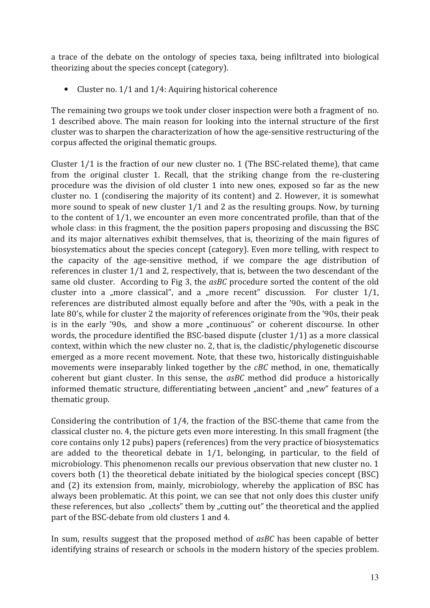a trace of the debate on the ontology of species taxa, being infiltrated into biological theorizing about the species concept (category).

• Cluster no. 1/1 and 1/4: Aquiring historical coherence

The remaining two groups we took under closer inspection were both a fragment of no. 1 described above. The main reason for looking into the internal structure of the first cluster was to sharpen the characterization of how the age-sensitive restructuring of the corpus affected the original thematic groups.

Cluster 1/1 is the fraction of our new cluster no. 1 (The BSC-related theme), that came from the original cluster 1. Recall, that the striking change from the re-clustering procedure was the division of old cluster 1 into new ones, exposed so far as the new cluster no. 1 (condisering the majority of its content) and 2. However, it is somewhat more sound to speak of new cluster 1/1 and 2 as the resulting groups. Now, by turning to the content of 1/1, we encounter an even more concentrated profile, than that of the whole class: in this fragment, the the position papers proposing and discussing the BSC and its major alternatives exhibit themselves, that is, theorizing of the main figures of biosystematics about the species concept (category). Even more telling, with respect to the capacity of the age-sensitive method, if we compare the age distribution of references in cluster 1/1 and 2, respectively, that is, between the two descendant of the same old cluster. According to Fig 3, the asBC procedure sorted the content of the old cluster into a "more classical", and a "more recent" discussion. For cluster  $1/1$ , references are distributed almost equally before and after the '90s, with a peak in the late 80's, while for cluster 2 the majority of references originate from the '90s, their peak is in the early '90s, and show a more "continuous" or coherent discourse. In other words, the procedure identified the BSC-based dispute (cluster  $1/1$ ) as a more classical context, within which the new cluster no. 2, that is, the cladistic/phylogenetic discourse emerged as a more recent movement. Note, that these two, historically distinguishable movements were inseparably linked together by the *cBC* method, in one, thematically coherent but giant cluster. In this sense, the asBC method did produce a historically informed thematic structure, differentiating between "ancient" and "new" features of a thematic group.

Considering the contribution of 1/4, the fraction of the BSC-theme that came from the classical cluster no. 4, the picture gets even more interesting. In this small fragment (the core contains only 12 pubs) papers (references) from the very practice of biosystematics are added to the theoretical debate in  $1/1$ , belonging, in particular, to the field of microbiology. This phenomenon recalls our previous observation that new cluster no. 1 covers both (1) the theoretical debate initiated by the biological species concept (BSC) and (2) its extension from, mainly, microbiology, whereby the application of BSC has always been problematic. At this point, we can see that not only does this cluster unify these references, but also "collects" them by "cutting out" the theoretical and the applied part of the BSC-debate from old clusters 1 and 4.

In sum, results suggest that the proposed method of asBC has been capable of better identifying strains of research or schools in the modern history of the species problem.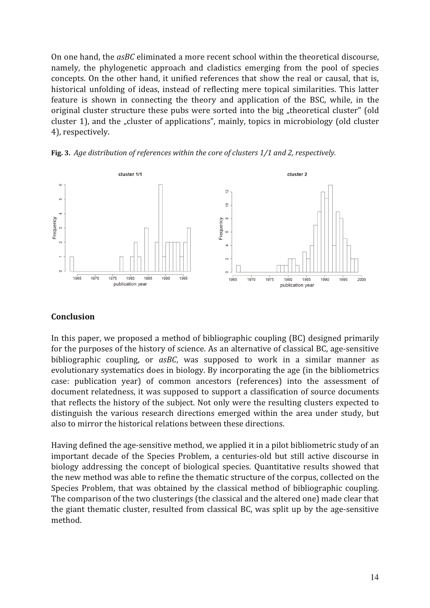On one hand, the asBC eliminated a more recent school within the theoretical discourse. namely, the phylogenetic approach and cladistics emerging from the pool of species concepts. On the other hand, it unified references that show the real or causal, that is, historical unfolding of ideas, instead of reflecting mere topical similarities. This latter feature is shown in connecting the theory and application of the BSC, while, in the original cluster structure these pubs were sorted into the big "theoretical cluster" (old cluster 1), and the "cluster of applications", mainly, topics in microbiology (old cluster 4), respectivelv.



Fig. 3. Age distribution of references within the core of clusters 1/1 and 2, respectively.

#### **Conclusion**

In this paper, we proposed a method of bibliographic coupling (BC) designed primarily for the purposes of the history of science. As an alternative of classical BC, age-sensitive bibliographic coupling, or asBC, was supposed to work in a similar manner as evolutionary systematics does in biology. By incorporating the age (in the bibliometrics case: publication year) of common ancestors (references) into the assessment of document relatedness, it was supposed to support a classification of source documents that reflects the history of the subject. Not only were the resulting clusters expected to distinguish the various research directions emerged within the area under study, but also to mirror the historical relations between these directions.

Having defined the age-sensitive method, we applied it in a pilot bibliometric study of an important decade of the Species Problem, a centuries-old but still active discourse in biology addressing the concept of biological species. Quantitative results showed that the new method was able to refine the thematic structure of the corpus, collected on the Species Problem, that was obtained by the classical method of bibliographic coupling. The comparison of the two clusterings (the classical and the altered one) made clear that the giant thematic cluster, resulted from classical BC, was split up by the age-sensitive method.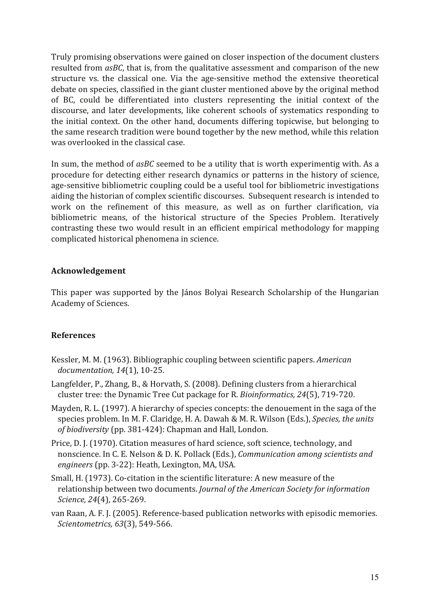Truly promising observations were gained on closer inspection of the document clusters resulted from asBC, that is, from the qualitative assessment and comparison of the new structure vs. the classical one. Via the age-sensitive method the extensive theoretical debate on species, classified in the giant cluster mentioned above by the original method of BC, could be differentiated into clusters representing the initial context of the discourse, and later developments, like coherent schools of systematics responding to the initial context. On the other hand, documents differing topicwise, but belonging to the same research tradition were bound together by the new method, while this relation was overlooked in the classical case.

In sum, the method of asBC seemed to be a utility that is worth experimentig with. As a procedure for detecting either research dynamics or patterns in the history of science, age-sensitive bibliometric coupling could be a useful tool for bibliometric investigations aiding the historian of complex scientific discourses. Subsequent research is intended to work on the refinement of this measure, as well as on further clarification, via bibliometric means, of the historical structure of the Species Problem. Iteratively contrasting these two would result in an efficient empirical methodology for mapping complicated historical phenomena in science.

#### Acknowledgement

This paper was supported by the János Bolyai Research Scholarship of the Hungarian Academy of Sciences.

#### **References**

- Kessler, M. M. (1963). Bibliographic coupling between scientific papers. American documentation, 14(1), 10-25.
- Langfelder, P., Zhang, B., & Horvath, S. (2008). Defining clusters from a hierarchical cluster tree: the Dynamic Tree Cut package for R. Bioinformatics, 24(5), 719-720.
- Mayden, R. L. (1997). A hierarchy of species concepts: the denouement in the saga of the species problem. In M. F. Claridge, H. A. Dawah & M. R. Wilson (Eds.), Species, the units of biodiversity (pp. 381-424): Chapman and Hall, London.
- Price, D.J. (1970). Citation measures of hard science, soft science, technology, and nonscience. In C. E. Nelson & D. K. Pollack (Eds.), Communication among scientists and engineers (pp. 3-22): Heath, Lexington, MA, USA.
- Small, H. (1973). Co-citation in the scientific literature: A new measure of the relationship between two documents. Journal of the American Society for information Science, 24(4), 265-269.
- van Raan, A. F. J. (2005). Reference-based publication networks with episodic memories. Scientometrics, 63(3), 549-566.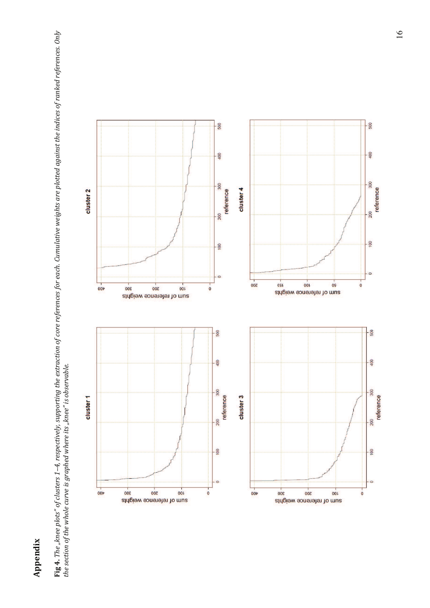## Appendix

 ${\rm Fig}$  4. The "knee plots" of clusters 1–4, respectively, supporting the extraction of core references for each. Cumulative weights are plotted against the indices of ranked references. Only<br>the section of the whole curve

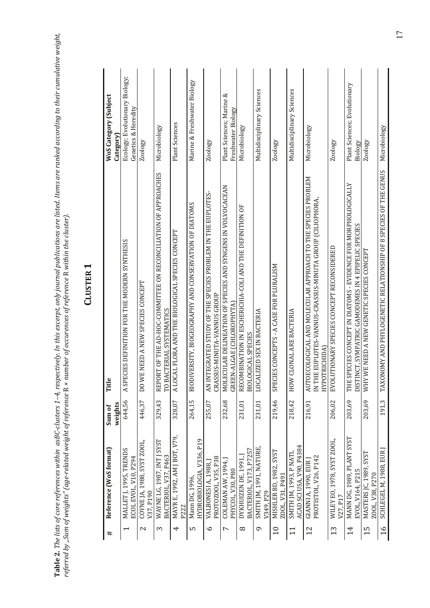| ì                                                            |                                                                                 |
|--------------------------------------------------------------|---------------------------------------------------------------------------------|
| $\overline{a}$                                               |                                                                                 |
|                                                              |                                                                                 |
| くろ アクユスクス りょう っちろう エクチュー アクサニ りょう りょうりょう<br>)<br>}<br>}<br>} | í<br>i                                                                          |
| נמו יותר ביו הייתור ב                                        | ļ                                                                               |
| , In this avrarnt nnlu<br>;<br>)<br>;<br>;                   | ֧֦֧֦֦֦֧֦֧֦֦֦֧֦֦֦֧֦֦֦֦֦֦֦֧֦֧֦֧֦֧֦֦֧֦֧֦֧֦֦֧֦֚֚֚֚֚֚֘֝֝֝֝֝֝֝֝֬֟֓֝֟֓֝֓֟֓֝֓<br>ニミンクキン |
| ֦֖ׅׅ֧ׅ֧֚֚֚֚֚֚֚֚֚֚֚֚֚֚֚֚֚֚֚֚֚֚֚֚֚֚֚֚֚֡֬֡֡֡֡֡֡֓֡֡֜<br>. מה הזי | .<br>.<br>ı                                                                     |
| 1.01222111<br>$\frac{1}{2}$<br>I<br><b>،</b>                 | i                                                                               |
|                                                              | くここく                                                                            |
| Ĭ<br><br>Ĭ<br>F<br>C                                         | く・・・・・<br>community of the con-                                                 |
| ٦                                                            |                                                                                 |

| ۹ |
|---|
|   |
|   |
|   |
|   |
|   |

| #               | Reference (WoS format)                             | weights<br>Sum of | Title                                                                                                                                      | <b>WoS Category (Subject</b><br>Category)             |
|-----------------|----------------------------------------------------|-------------------|--------------------------------------------------------------------------------------------------------------------------------------------|-------------------------------------------------------|
|                 | MALLET J, 1995, TRENDS<br>ECOL EVOL, V10, P294     | 644,56            | A SPECIES DEFINITION FOR THE MODERN SYNTHESIS                                                                                              | Ecology; Evolutionary Biology;<br>Genetics & Heredity |
| 2               | COYNE JA, 1988, SYST ZOOL,<br>V37, P190            | 446,37            | WE NEED A NEW SPECIES CONCEPT<br>$\overline{D}$                                                                                            | Zoology                                               |
| Σ               | WAYNE LG, 1987, INT   SYST<br>BACTERIOL, V37, P463 | 329,43            | REPORT OF THE AD-HOC-COMMITTEE ON RECONCILIATION OF APPROACHES<br>BACTERIAL SYSTEMATICS<br>FO                                              | Microbiology                                          |
| 4               | MAYR E, 1992, AM J BOT, V79,<br>P222               | 328,07            | A LOCAL FLORA AND THE BIOLOGICAL SPECIES CONCEPT                                                                                           | <b>Plant Sciences</b>                                 |
| מו              | HYDROBIOLOGIA, V336, P19<br>Mann DG, 1996,         | 264,15            | BIODIVERSITY, BIOGEOGRAPHY AND CONSERVATION OF DIATOMS                                                                                     | Marine & Freshwater Biology                           |
| $\circ$         | PROTOZOOL, V35, P38<br>VALBONESI A, 1988, J        | 255,07            | AN INTEGRATED STUDY OF THE SPECIES PROBLEM IN THE EUPLOTES-<br>CRASSUS-MINUTA-VANNUS GROUP                                                 | Zoology                                               |
| L               | COLEMAN AW, 1994,<br>PHYCOL, V30, P80              | 232,68            | MOLECULAR DELINEATION OF SPECIES AND SYNGENS IN VOLVOCACEAN<br>GREEN-ALGAE (CHLOROPHYTA)                                                   | Plant Sciences; Marine &<br>Freshwater Biology        |
| $^{\circ}$      | BACTERIOL, V173, P7257<br>DYKHUIZEN DE, 1991,      | 231,01            | RECOMBINATION IN ESCHERICHIA-COLI AND THE DEFINITION OF<br>BIOLOGICAL SPECIES                                                              | Microbiology                                          |
| ᡡ               | SMITH JM, 1991, NATURE,<br>V349, P29               | 231,01            | LOCALIZED SEX IN BACTERIA                                                                                                                  | Multidisciplinary Sciences                            |
| $\overline{10}$ | MISHLER BD, 1982, SYST<br>ZOOL, V31, P491          | 219,46            | SPECIES CONCEPTS - A CASE FOR PLURALISM                                                                                                    | Zoology                                               |
| 11              | ACAD SCI USA, V90, P4384<br>SMITH IM, 1993, P NATL | 218,42            | HOW CLONAL ARE BACTERIA                                                                                                                    | Multidisciplinary Sciences                            |
| 12              | PROTISTOL, V26, P142<br>GIANNI A, 1990, EUR        | 216,91            | AUTOECOLOGICAL AND MOLECULAR APPROACH TO THE SPECIES PROBLEM<br>IN THE EUP LOTES-VANNUS-CRASSUS-MINUTA GROUP (CILIOPHORA,<br>HYPOTRICHIDA) | Microbiology                                          |
| 13              | WILEY EO, 1978, SYST ZOOL,<br>V27, P17             | 206,02            | EVOLUTIONARY SPECIES CONCEPT RECONSIDERED                                                                                                  | Zoology                                               |
| $\overline{1}$  | MANN DG, 1989, PLANT SYST<br>EVOL, V164, P215      | 203,69            | THE SPECIES CONCEPT IN DIATOMS - EVIDENCE FOR MORPHOLOGICALLY<br>DISTINCT, SYMPATRIC GAMODEMES IN 4 EPIPELIC SPECIES                       | Plant Sciences; Evolutionary<br>Biology               |
| 15              | MASTERS JC, 1989, SYST<br>ZOOL, V38, P270          | 203,69            | WHY WE NEED A NEW GENETIC SPECIES CONCEPT                                                                                                  | Zoology                                               |
| $\frac{6}{1}$   | SCHLEGEL M, 1988, EUR                              | 191,3             | TAXONOMY AND PHYLOGENETIC RELATIONSHIP OF 8 SPECIES OF THE GENUS                                                                           | Microbiology                                          |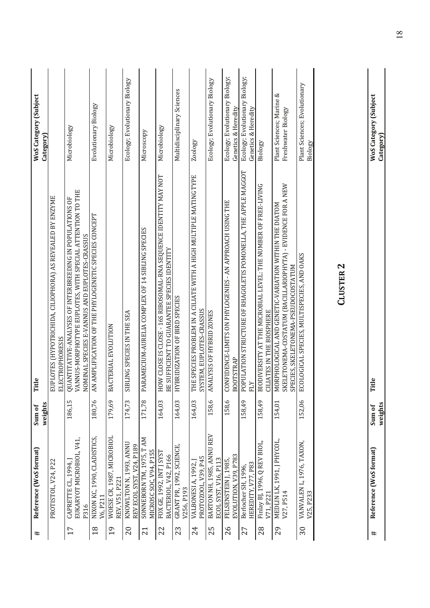| #               | Reference (WoS format)                                 | weights<br>Sum of | itle<br>⊨                                                                                                                                                              | WoS Category (Subject<br>Category)                    |
|-----------------|--------------------------------------------------------|-------------------|------------------------------------------------------------------------------------------------------------------------------------------------------------------------|-------------------------------------------------------|
|                 | PROTISTOL, V24, P22                                    |                   | EUPLOTES (HYPOTRICHIDA, CILIOPHORA) AS REVEALED BY ENZYME<br><b>ELECTROPHORESIS</b>                                                                                    |                                                       |
| 17              | EUKARYOT MICROBIOL, V41,<br>CAPRETTE CL, 1994,<br>P316 | 186,15            | QUANTITATIVE-ANALYSES OF INTERBREEDING IN POPULATIONS OF<br>VANNUS-MORPHOTYPE EUPLOTES, WITH SPECIAL ATTENTION TO THE<br>NOMINAL SPECIES E-VANNUS AND EUPLOTES-CRASSUS | Microbiology                                          |
| 18              | NIXON KC, 1990, CLADISTICS,<br>V6.P211                 | 180,76            | AN AMPLIFICATION OF THE PHYLOGENETIC SPECIES CONCEPT                                                                                                                   | Evolutionary Biology                                  |
| 19              | WOESE CR, 1987, MICROBIOL<br>REV, V51, P221            | 179,69            | BACTERIAL EVOLUTION                                                                                                                                                    | Microbiology                                          |
| $\Omega$        | KNOWLTON N, 1993, ANNU<br>REV ECOL SYST, V24, P189     | 174,73            | BLING SPECIES IN THE SEA<br>5                                                                                                                                          | Ecology; Evolutionary Biology                         |
| $\overline{21}$ | SONNEBORN TM, 1975, TAM<br>MICROSC SOC, V94, P155      | 171,78            | PARAMECIUM-AURELIA COMPLEX OF 14 SIBLING SPECIES                                                                                                                       | Microscopy                                            |
| 22              | FOX GE, 1992, INT   SYST<br>BACTERIOL, V42, P166       | 164,03            | HOW CLOSE IS CLOSE - 16S RIBOSOMAL-RNA SEQUENCE IDENTITY MAY NOT<br>BE SUFFICIENT TO GUARANTEE SPECIES IDENTITY                                                        | Microbiology                                          |
| 23              | GRANT PR, 1992, SCIENCE,<br>V256, P193                 | 164,03            | HYBRIDIZATION OF BIRD SPECIES                                                                                                                                          | Multidisciplinary Sciences                            |
| 24              | PROTOZOOL, V39, P45<br>VALBONESI A, 1992, J            | 164,03            | THE SPECIES PROBLEM IN A CILIATE WITH A HIGH MULTIPLE MATING TYPE<br>SYSTEM, EUPLOTES-CRASSUS                                                                          | Zoology                                               |
| 25              | BARTON NH, 1985, ANNU REV<br>ECOL SYST, V16, P113      | 158,6             | NALYSIS OF HYBRID ZONES<br>⋖                                                                                                                                           | Ecology; Evolutionary Biology                         |
| 26              | EVOLUTION, V39, P783<br>FELSENSTEIN 1.1985             | 158,6             | CONFIDENCE-LIMITS ON PHYLOGENIES - AN APPROACH USING THE<br><b>BOOTSTRAP</b>                                                                                           | Ecology; Evolutionary Biology;<br>Genetics & Heredity |
| 27              | HEREDITY, V77, P83<br>Berlocher SH, 1996,              | 158,49            | POPULATION STRUCTURE OF RHAGOLETIS POMONELLA, THE APPLE MAGGOT<br>FLY                                                                                                  | Ecology; Evolutionary Biology;<br>Genetics & Heredity |
| 28              | Finlay BJ, 1996, Q REV BIOL,<br>V71, P221              | 158,49            | BIODIVERSITY AT THE MICROBIAL LEVEL: THE NUMBER OF FREE-LIVING<br><b>CILIATES IN THE BIOSPHERE</b>                                                                     | Biology                                               |
| 29              | MEDLIN LK, 1991, J PHYCOL,<br>V27, P514                | 154,01            | SKELETONEMA-COSTATUM (BACILLARIOPHYTA) - EVIDENCE FOR A NEW<br>MORPHOLOGICAL AND GENETIC-VARIATION WITHIN THE DIATOM<br>SPECIES, SKELETONEMA-PSEUDOCOSTATUM            | Plant Sciences; Marine &<br>Freshwater Biology        |
| 30              | VANVALEN L, 1976, TAXON,<br>V25, P233                  | 152,06            | ECOLOGICAL SPECIES, MULTISPECIES, AND OAKS                                                                                                                             | Plant Sciences; Evolutionary<br>Biology               |

Title Sum of<br>weights Reference (WoS format)  $#$ 

WoS Category (Subject<br>Category)

<u>18</u>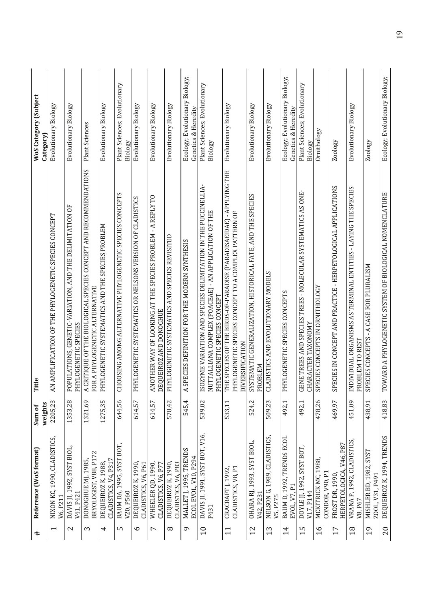| $\ddagger$               | Reference (WoS format)                         | weights<br>Sum of | Title                                                                                                                                                   | WoS Category (Subject<br>Category)                    |
|--------------------------|------------------------------------------------|-------------------|---------------------------------------------------------------------------------------------------------------------------------------------------------|-------------------------------------------------------|
| $\overline{\phantom{0}}$ | NIXON KC, 1990, CLADISTICS,<br>V6, P211        | 2205,23           | AN AMPLIFICATION OF THE PHYLOGENETIC SPECIES CONCEPT                                                                                                    | Evolutionary Biology                                  |
| $\mathbf{c}$             | DAVIS JI, 1992, SYST BIOL,<br>V41, P421        | 1353,28           | POPULATIONS, GENETIC-VARIATION, AND THE DELIMITATION OF<br>PHYLOGENETIC SPECIES                                                                         | Evolutionary Biology                                  |
| S                        | BRYOLOGIST, V88, P172<br>DONOGHUE MJ, 1985,    | 1321,69           | A CRITIQUE OF THE BIOLOGICAL SPECIES CONCEPT AND RECOMMENDATIONS<br>FOR A PHYLOGENETIC ALTERNATIVE                                                      | <b>Plant Sciences</b>                                 |
| 4                        | CLADISTICS, V4, P317<br>DEQUEIROZ K, 1988,     | 1275,35           | PHYLOGENETIC SYSTEMATICS AND THE SPECIES PROBLEM                                                                                                        | Evolutionary Biology                                  |
| w                        | BAUM DA, 1995, SYST BOT,<br>V20, P560          | 644,56            | CHOOSING AMONG ALTERNATIVE PHYLOGENETIC SPECIES CONCEPTS                                                                                                | Plant Sciences; Evolutionary<br>Biology               |
| م                        | DEQUEIROZ K, 1990,<br>CLADISTICS, V6, P61      | 614,57            | PHYLOGENETIC SYSTEMATICS OR NELSONS VERSION OF CLADISTICS                                                                                               | Evolutionary Biology                                  |
| L                        | WHEELER QD, 1990,<br>CLADISTICS, V6, P77       | 614,57            | ANOTHER WAY OF LOOKING AT THE SPECIES PROBLEM - A REPLY TO<br>DEQUEIROZ AND DONOGHUE                                                                    | Evolutionary Biology                                  |
| $^{\circ}$               | DEQUEIROZ K, 1990,<br>CLADISTICS, V6, P83      | 578,42            | PHYLOGENETIC SYSTEMATICS AND SPECIES REVISITED                                                                                                          | Evolutionary Biology                                  |
| Q                        | MALLET J, 1995, TRENDS<br>ECOL EVOL, V10, P294 | 545,4             | SPECIES DEFINITION FOR THE MODERN SYNTHESIS<br>$\prec$                                                                                                  | Ecology; Evolutionary Biology;<br>Genetics & Heredity |
| $\overline{10}$          | DAVIS JI, 1991, SYST BOT, V16,<br>P431         | 539,02            | ISOZYME VARIATION AND SPECIES DELIMITATION IN THE PUCCINELLIA-<br>NUTTALLIANA COMPLEX (POACEAE) - AN APPLICATION OF THE<br>PHYLOGENETIC SPECIES CONCEPT | Plant Sciences; Evolutionary<br>Biology               |
| 11                       | CLADISTICS, V8, P1<br>CRACRAFT J, 1992,        | 533,11            | THE SPECIES OF THE BIRDS-OF-PARADISE (PARADISAEIDAE) - APPLYING THE<br>PHYLOGENETIC SPECIES CONCEPT TO A COMPLEX PATTERN OF<br>DIVERSIFICATION          | Evolutionary Biology                                  |
| 12                       | OHARA RJ, 1993, SYST BIOL,<br>V42, P231        | 524,2             | SYSTEMATIC GENERALIZATION, HISTORICAL FATE, AND THE SPECIES<br>PROBLEM                                                                                  | Evolutionary Biology                                  |
| 13                       | NELSON G, 1989, CLADISTICS,<br>V5, P275        | 509,23            | CLADISTICS AND EVOLUTIONARY MODELS                                                                                                                      | Evolutionary Biology                                  |
| 14                       | BAUM D, 1992, TRENDS ECOL<br>EVOL, V7, P1      | 492,1             | PHYLOGENETIC SPECIES CONCEPTS                                                                                                                           | Ecology; Evolutionary Biology;<br>Genetics & Heredity |
| $\frac{5}{1}$            | DOYLE JJ, 1992, SYST BOT,<br>V17.P144          | 492,1             | GENE TREES AND SPECIES TREES - MOLECULAR SYSTEMATICS AS ONE-<br>CHARACTER TAXONOMY                                                                      | Plant Sciences; Evolutionary<br>Biology               |
| $\frac{6}{1}$            | MCKITRICK MC, 1988,<br>CONDOR, V90, P1         | 478,26            | SPECIES CONCEPTS IN ORNITHOLOGY                                                                                                                         | Ornithology                                           |
| 17                       | HERPETOLOGICA, V46, P87<br>FROST DR, 1990,     | 469,97            | PECIES IN CONCEPT AND PRACTICE - HERPETOLOGICAL APPLICATIONS<br>S                                                                                       | Zoology                                               |
| 18                       | VRANA P, 1992, CLADISTICS,<br>V8, P67          | 451,09            | INDIVIDUAL ORGANISMS AS TERMINAL ENTITIES - LAYING THE SPECIES<br>PROBLEM TO REST                                                                       | Evolutionary Biology                                  |
| 19                       | MISHLER BD, 1982, SYST<br>ZOOL, V31, P491      | 438,91            | SPECIES CONCEPTS - A CASE FOR PLURALISM                                                                                                                 | Zoology                                               |
| 20                       | DEQUEIROZ K, 1994, TRENDS                      | 418,83            | TOWARD A PHYLOGENETIC SYSTEM OF BIOLOGICAL NOMENCLATURE                                                                                                 | Ecology; Evolutionary Biology;                        |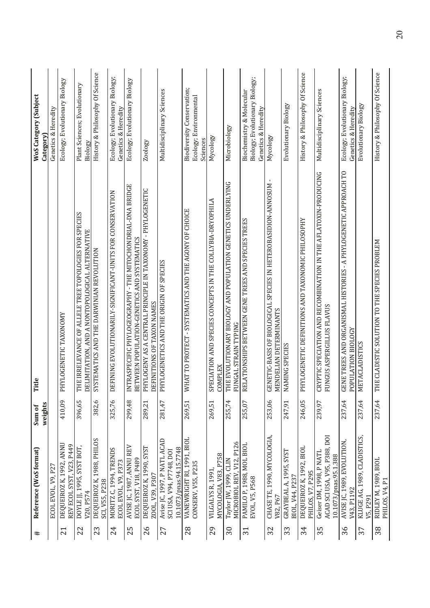| Reference (WoS format)<br>#                                                              | Sum of  | Title                                                                                                      | WoS Category (Subject                                                             |
|------------------------------------------------------------------------------------------|---------|------------------------------------------------------------------------------------------------------------|-----------------------------------------------------------------------------------|
|                                                                                          | weights |                                                                                                            | Category)                                                                         |
| ECOL EVOL, V9, P27                                                                       |         |                                                                                                            | Genetics & Heredity                                                               |
| DEQUEIROZ K, 1992, ANNU<br>REV ECOL SYST, V23, P449<br>$\overline{21}$                   | 410,09  | HYLOGENETIC TAXONOMY<br>$\overline{\mathbf{r}}$                                                            | Ecology; Evolutionary Biology                                                     |
| DOYLE JJ, 1995, SYST BOT,<br>V20, P574<br>22                                             | 396,65  | THE IRRELEVANCE OF ALLELE TREE TOPOLOGIES FOR SPECIES<br>DELIMITATION, AND A NONTOPOLOGICAL ALTERNATIVE    | Plant Sciences; Evolutionary<br>Biology                                           |
| DEQUEIROZ K, 1988, PHILOS<br>SCI, V55, P238<br>23                                        | 382,6   | SYSTEMATICS AND THE DARWINIAN REVOLUTION                                                                   | History & Philosophy Of Science                                                   |
| MORITZ C, 1994, TRENDS<br>ECOLEVOL, V9, P373<br>24                                       | 325,76  | DEFINING EVOLUTIONARILY-SIGNIFICANT-UNITS FOR CONSERVATION                                                 | Ecology; Evolutionary Biology;<br>Genetics & Heredity                             |
| AVISE JC, 1987, ANNU REV<br>ECOL SYST, V18, P489<br>25                                   | 299,48  | INTRASPECIFIC PHYLOGEOGRAPHY - THE MITOCHONDRIAL-DNA BRIDGE<br>BETWEEN POPULATION-GENETICS AND SYSTEMATICS | Ecology; Evolutionary Biology                                                     |
| DEQUEIROZ K, 1990, SYST<br>ZOOL, V39, P307<br>26                                         | 289,21  | PHYLOGENY AS A CENTRAL PRINCIPLE IN TAXONOMY - PHYLOGENETIC<br>DEFINITIONS OF TAXON NAMES                  | Zoology                                                                           |
| Avise JC, 1997, P NATL ACAD<br>10.1073/pnas.94.15.7748<br>SCI USA, V94, P7748, DOI<br>27 | 281,47  | PHYLOGENETICS AND THE ORIGIN OF SPECIES                                                                    | Multidisciplinary Sciences                                                        |
| VANEWRIGHT RI, 1991, BIOL<br>CONSERV, V55, P235<br>28                                    | 269,51  | WHAT TO PROTECT - SYSTEMATICS AND THE AGONY OF CHOICE                                                      | Biodiversity Conservation;<br>Ecology; Environmental<br>Sciences                  |
| MYCOLOGIA, V83, P758<br>VILGALYS R, 1991<br>29                                           | 269,51  | SPECIATION AND SPECIES CONCEPTS IN THE COLLYBIA-DRYOPHILA<br>OMPLEX<br>ర                                   | Mycology                                                                          |
| MICROBIOL REV, V12, P126<br>Taylor JW, 1999, CLIN<br>$\overline{30}$                     | 255,74  | THE EVOLUTIONARY BIOLOGY AND POPULATION GENETICS UNDERLYING<br>FUNGAL STRAIN TYPING                        | Microbiology                                                                      |
| PAMILO P, 1988, MOL BIOL<br>EVOL, V5, P568<br>$\overline{31}$                            | 255,07  | ELATIONSHIPS BETWEEN GENE TREES AND SPECIES TREES<br>z                                                     | Biology; Evolutionary Biology;<br>Biochemistry & Molecular<br>Genetics & Heredity |
| CHASE TE, 1990, MYCOLOGIA,<br>V82, P67<br>32                                             | 253,06  | GENETIC-BASIS OF BIOLOGICAL SPECIES IN HETEROBASIDION-ANNOSUM<br>MENDELIAN DETERMINANTS                    | Mycology                                                                          |
| GRAYBEAL A, 1995, SYST<br>BIOL, V44, P237<br>33                                          | 247,91  | NAMING SPECIES                                                                                             | Evolutionary Biology                                                              |
| DEQUEIROZ K, 1992, BIOL<br>PHILOS, V7, P295<br>34                                        | 246,05  | PHYLOGENETIC DEFINITIONS AND TAXONOMIC PHILOSOPHY                                                          | History & Philosophy Of Science                                                   |
| ACAD SCI USA, V95, P388, DOI<br>Geiser DM, 1998, P NATI<br>10.1073/pnas.95.1.388<br>35   | 239,97  | CRYPTIC SPECIATION AND RECOMBINATION IN THE AFLATOXIN-PRODUCING<br>FUNGUS ASPERGILLUS FLAVUS               | Multidisciplinary Sciences                                                        |
| AVISE JC, 1989, EVOLUTION,<br>V43, P1192<br>36                                           | 237,64  | GENE TREES AND ORGANISMAL HISTORIES - A PHYLOGENETIC APPROACH TO<br>POPULATION BIOLOGY                     | Ecology; Evolutionary Biology;<br>Genetics & Heredity                             |
| KLUGE AG, 1989, CLADISTICS,<br>V5, P291<br>37                                            | 237,64  | <b>ETACLADISTICS</b><br>Σ                                                                                  | Evolutionary Biology                                                              |
| RIDLEY M, 1989, BIOL<br>PHILOS, V4, P1<br>38                                             | 237,64  | HE CLADISTIC SOLUTION TO THE SPECIES PROBLEM<br>⊟                                                          | History & Philosophy Of Science                                                   |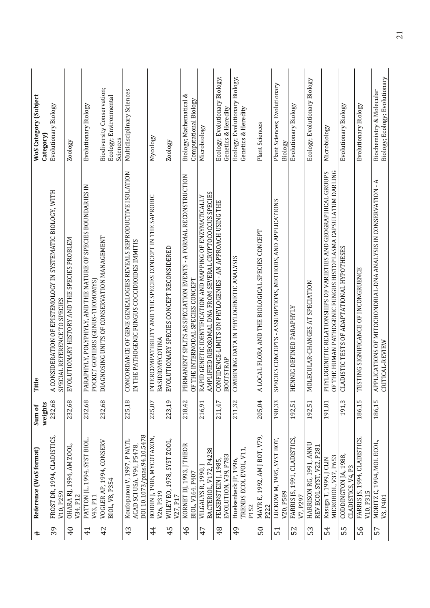| $\ddagger$      | Reference (WoS format)                                                                 | weights<br>Sum of | Title                                                                                                                            | WoS Category (Subject<br>Category)                               |
|-----------------|----------------------------------------------------------------------------------------|-------------------|----------------------------------------------------------------------------------------------------------------------------------|------------------------------------------------------------------|
| 39              | FROST DR, 1994, CLADISTICS,<br>V10, P259                                               | 232,68            | CONSIDERATION OF EPISTEMOLOGY IN SYSTEMATIC BIOLOGY, WITH<br>SPECIAL REFERENCE TO SPECIES<br>Ą                                   | Evolutionary Biology                                             |
| $^{40}$         | OHARA RJ, 1994, AM ZOOL,<br>V34, P12                                                   | 232,68            | EVOLUTIONARY HISTORY AND THE SPECIES PROBLEM                                                                                     | Zoology                                                          |
| $\overline{4}$  | PATTON JL, 1994, SYST BIOL,<br>V43, P11                                                | 232,68            | PARAPHYLY, POLYPHYLY, AND THE NATURE OF SPECIES BOUNDARIES IN<br>POCKET GOPHERS (GENUS-THOMOMYS)                                 | Evolutionary Biology                                             |
| 42              | VOGLER AP, 1994, CONSERV<br>BIOL, V8, P354                                             | 232,68            | DIAGNOSING UNITS OF CONSERVATION MANAGEMENT                                                                                      | Biodiversity Conservation;<br>Ecology; Environmental<br>Sciences |
| 43              | DOI 10.1073/pnas.94.10.5478<br>Koufopanou V, 1997, P NATL<br>ACAD SCI USA, V94, P5478, | 225,18            | CONCORDANCE OF GENE GENEALOGIES REVEALS REPRODUCTIVE ISOLATION<br>IN THE PATHOGENIC FUNGUS COCCIDIOIDES IMMITIS                  | Multidisciplinary Sciences                                       |
| $\frac{4}{4}$   | BOIDIN J, 1986, MYCOTAXON,<br>V26.P319                                                 | 225,07            | INTER COMPATIBILITY AND THE SPECIES CONCEPT IN THE SAPROBIC<br>BASIDIOMYCOTINA                                                   | Mycology                                                         |
| 45              | WILEY EO, 1978, SYST ZOOL,<br>V27, P17                                                 | 223,19            | EVOLUTIONARY SPECIES CONCEPT RECONSIDERED                                                                                        | Zoology                                                          |
| 46              | KORNET DJ, 1993, J THEOR<br>BIOL, V164, P407                                           | 218,42            | PERMANENT SPLITS AS SPECIATION EVENTS - A FORMAL RECONSTRUCTION<br>OF THE INTERNODAL SPECIES CONCEPT                             | Biology; Mathematical &<br>Computational Biology                 |
| 47              | BACTERIOL, V172, P4238<br>VILGALYS R, 1990,                                            | 216,91            | AMPLIFIED RIBOSOMAL DNA FROM SEVERAL CRYPTOCOCCUS SPECIES<br>RAPID GENETIC IDENTIFICATION AND MAPPING OF ENZYMATICALLY           | Microbiology                                                     |
| 48              | EVOLUTION, V39, P783<br>FELSENSTEIN J, 1985,                                           | 211,47            | CONFIDENCE-LIMITS ON PHYLOGENIES - AN APPROACH USING THE<br><b>BOOTSTRAP</b>                                                     | Ecology; Evolutionary Biology;<br>Genetics & Heredity            |
| 49              | TRENDS ECOL EVOL, V11<br>Huelsenbeck JP, 1996,<br>P152                                 | 211,32            | COMBINING DATA IN PHYLOGENETIC ANALYSIS                                                                                          | Ecology; Evolutionary Biology;<br>Genetics & Heredity            |
| 50              | MAYR E, 1992, AM J BOT, V79,<br>P222                                                   | 205,04            | LOCAL FLORA AND THE BIOLOGICAL SPECIES CONCEPT<br>Ą                                                                              | Plant Sciences                                                   |
| $\overline{51}$ | LUCKOW M, 1995, SYST BOT,<br>V20, P589                                                 | 198,33            | PECIES CONCEPTS - ASSUMPTIONS, METHODS, AND APPLICATIONS<br>S                                                                    | Plant Sciences; Evolutionary<br>Biology                          |
| 52              | FARRIS JS, 1991, CLADISTICS,<br>V7, P297                                               | 192,51            | ENNIG DEFINED PARAPHYLY<br>Ξ                                                                                                     | Evolutionary Biology                                             |
| 53              | HARRISON RG, 1991, ANNU<br>REV ECOL SYST, V22, P281                                    | 192,51            | MOLECULAR-CHANGES AT SPECIATION                                                                                                  | Ecology; Evolutionary Biology                                    |
| 54              | MICROBIOL, V37, P653<br>Kasuga T, 1999, J CLIN                                         | 191,81            | OF THE HUMAN PATHOGENIC FUNGUS HISTOPLASMA CAPSULATUM DARLING<br>PHYLOGENETIC RELATIONSHIPS OF VARIETIES AND GEOGRAPHICAL GROUPS | Microbiology                                                     |
| က္က             | CODDINGTON JA, 1988,<br>CLADISTICS, V4, P3                                             | 191,3             | CLADISTIC TESTS OF ADAPTATIONAL HYPOTHESES                                                                                       | Evolutionary Biology                                             |
| 56              | FARRIS JS, 1994, CLADISTICS,<br>V10, P315                                              | 186,15            | TESTING SIGNIFICANCE OF INCONGRUENCE                                                                                             | Evolutionary Biology                                             |
| 57              | MORITZ C, 1994, MOL ECOL,<br>V3, P401                                                  | 186,15            | APP LICATIONS OF MITOCHONDRIAL-DNA ANALYSIS IN CONSERVATION - A<br>CRITICAL-REVIEW                                               | Biology; Ecology; Evolutionary<br>Biochemistry & Molecular       |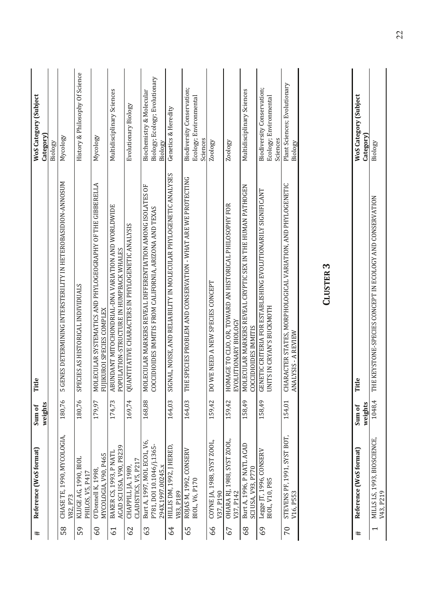| PHILOS, V5, P417<br>V82.P73<br>$\overline{60}$<br>58<br>59 |                                                                               |         |                                                                                                                       |                                                                       |
|------------------------------------------------------------|-------------------------------------------------------------------------------|---------|-----------------------------------------------------------------------------------------------------------------------|-----------------------------------------------------------------------|
|                                                            |                                                                               | weights |                                                                                                                       | Category)<br>Biology                                                  |
|                                                            | CHASE TE, 1990, MYCOLOGIA,                                                    | 180,76  | GENES DETERMINING INTERSTERILITY IN HETEROBASIDION-ANNOSUM<br>LO                                                      | Mycology                                                              |
|                                                            | KLUGE AG, 1990, BIOL                                                          | 180,76  | SPECIES AS HISTORICAL INDIVIDUALS                                                                                     | History & Philosophy Of Science                                       |
|                                                            | MYCOLOGIA, V90, P465<br>O'Donnell K, 1998                                     | 179,97  | OLECULAR SYSTEMATICS AND PHYLOGEOGRAPHY OF THE GIBBERELLA<br>FUIIKUROI SPECIES COMPLEX<br>Σ                           | Mycology                                                              |
| 61                                                         | ACAD SCI USA, V90, P8239<br>BAKER CS, 1993, P NATL                            | 174,73  | ABUNDANT MITOCHONDRIAL-DNA VARIATION AND WORLDWIDE<br>POPULATION-STRUCTURE IN HUMPBACK WHALES                         | Multidisciplinary Sciences                                            |
| 62                                                         | CLADISTICS, V5, P217<br>CHAPPILL JA, 1989,                                    | 169,74  | QUANTITATIVE CHARACTERS IN PHYLOGENETIC ANALYSIS                                                                      | Evolutionary Biology                                                  |
| 63                                                         | Burt A, 1997, MOL ECOL, V6,<br>P781, DOI 10.1046/j.1365-<br>294X.1997.00245.x | 168,88  | MOLECULAR MARKERS REVEAL DIFFERENTIATION AMONG ISOLATES OF<br>COCCIDIOIDES IMMITIS FROM CALIFORNIA, ARIZONA AND TEXAS | Biology; Ecology; Evolutionary<br>Biochemistry & Molecular<br>Biology |
| V83, P189<br>64                                            | HILLIS DM, 1992, J HERED,                                                     | 164,03  | IGNAL, NOISE, AND RELIABILITY IN MOLECULAR PHYLOGENETIC ANALYSES<br>5                                                 | Genetics & Heredity                                                   |
| BIOL, V6, P170<br>59                                       | ROJAS M, 1992, CONSERV                                                        | 164,03  | THE SPECIES PROBLEM AND CONSERVATION - WHAT ARE WE PROTECTING                                                         | Biodiversity Conservation;<br>Ecology; Environmental<br>Sciences      |
| V37, P190<br>99                                            | COYNE JA, 1988, SYST ZOOL,                                                    | 159,42  | DO WE NEED A NEW SPECIES CONCEPT                                                                                      | Zoology                                                               |
| V37.P142<br>67                                             | OHARA RJ, 1988, SYST ZOOL,                                                    | 159,42  | HOMAGE TO CLIO, OR, TOWARD AN HISTORICAL PHILOSOPHY FOR<br>EVOLUTIONARY BIOLOGY                                       | Zoology                                                               |
| 89                                                         | Burt A, 1996, P NATL ACAD<br>SCI USA, V93, P770                               | 158,49  | MOLECULAR MARKERS REVEAL CRYPTIC SEX IN THE HUMAN PATHOGEN<br><b>COCCIDIOIDES IMMITIS</b>                             | Multidisciplinary Sciences                                            |
| BIOL, V10, P85<br>69                                       | Legge JT, 1996, CONSERV                                                       | 158,49  | GENETIC CRITERIA FOR ESTABLISHING EVOLUTIONARILY SIGNIFICANT<br>UNITS IN CRYAN'S BUCKMOTH                             | Biodiversity Conservation;<br>Ecology; Environmental<br>Sciences      |
| V16, P553<br>$\overline{C}$                                | STEVENS PF, 1991, SYST BOT,                                                   | 154,01  | CHARACTER STATES, MORPHOLOGICAL VARIATION, AND PHYLOGENETIC<br>ANALYSIS - A REVIEW                                    | Plant Sciences; Evolutionary<br>Biology                               |

**CLUSTER 3** 

|   | Reference (WoS format)      | Sum of  | Ë                                                       | <b>WoS Category (Subject</b> |
|---|-----------------------------|---------|---------------------------------------------------------|------------------------------|
|   |                             | veights |                                                         | tegory                       |
| 1 | AILLS LS, 1993, BIOSCIENCE, | 1048,4  | HE KEYSTONE-SPECIES CONCEPT IN ECOLOGY AND CONSERVATION | Biology                      |
|   | /43, P219                   |         |                                                         |                              |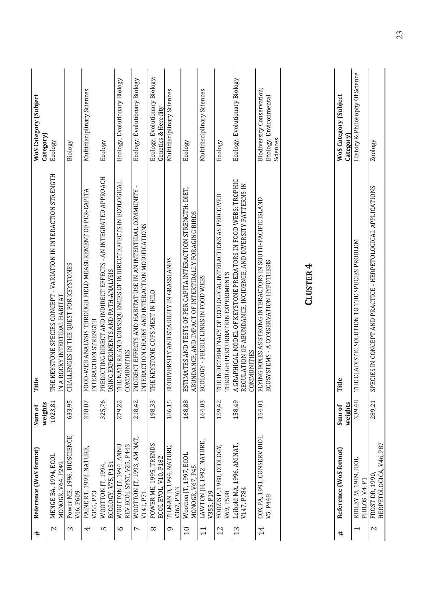| #                 | Reference (WoS format)                             | Sum of  | itle<br>Ë                                                                                                                                            | <b>WoS Category (Subject</b>                                     |
|-------------------|----------------------------------------------------|---------|------------------------------------------------------------------------------------------------------------------------------------------------------|------------------------------------------------------------------|
|                   |                                                    | weights |                                                                                                                                                      | Category                                                         |
| $\mathbf{\Omega}$ | MENGE BA, 1994, ECOL<br>MONOGR, V64, P249          | 1023,81 | THE KEYSTONE SPECIES CONCEPT - VARIATION IN INTERACTION STRENGTH<br>A ROCKY INTERTIDAL HABITAT<br>Ξ                                                  | Ecology                                                          |
| 3                 | Power ME, 1996, BIOSCIENCE,<br>V46, P609           | 633,95  | CHALLENGES IN THE QUEST FOR KEYSTONES                                                                                                                | Biology                                                          |
| 4                 | PAINE RT, 1992, NATURE,<br>V355, P73               | 328,07  | FOOD-WEB ANALYSIS THROUGH FIELD MEASUREMENT OF PER-CAPITA<br>INTERACTION STRENGTH                                                                    | Multidisciplinary Sciences                                       |
| LO                | ECOLOGY, V75, P151<br>WOOTTON JT, 1994             | 325,76  | PREDICTING DIRECT AND INDIRECT EFFECTS - AN INTEGRATED APPROACH<br>USING EXPERIMENTS AND PATH-ANALYSIS                                               | Ecology                                                          |
| م                 | REV ECOL SYST, V25, P443<br>WOOTTON JT, 1994, ANNU | 279,22  | THE NATURE AND CONSEQUENCES OF INDIRECT EFFECTS IN ECOLOGICAL<br>COMMUNITIES                                                                         | Ecology; Evolutionary Biology                                    |
| L                 | WOOTTON JT, 1993, AM NAT,<br>V141.P71              | 218,42  | INDIRECT EFFECTS AND HABITAT USE IN AN INTERTIDAL COMMUNITY-<br>ITERACTION CHAINS AND INTERACTION MODIFICATIONS<br>$\leq$                            | Ecology; Evolutionary Biology                                    |
| $^{\circ}$        | POWER ME, 1995, TRENDS<br>ECOLEVOL, V10, P182      | 198,33  | THE KEYSTONE COPS MEET IN HILO                                                                                                                       | Ecology; Evolutionary Biology;<br>Genetics & Heredity            |
| ᡋ                 | TILMAN D, 1994, NATURE,<br>V367, P363              | 186,15  | BIODIVERSITY AND STABILITY IN GRASSLANDS                                                                                                             | Multidisciplinary Sciences                                       |
| $\overline{10}$   | Wootton JT, 1997, ECOL<br>MONOGR, V67, P45         | 168,88  | ESTIMATES AND TESTS OF PER CAPITA INTERACTION STRENGTH: DIET,<br>ABUNDANCE, AND IMPACT OF INTERTIDALLY FORAGING BIRDS                                | Ecology                                                          |
|                   | LAWTON JH, 1992, NATURE,<br>V355, P19              | 164,03  | ECOLOGY - FEEBLE LINKS IN FOOD WEBS                                                                                                                  | Multidisciplinary Sciences                                       |
| 12                | YODZIS P, 1988, ECOLOGY,<br>V69, P508              | 159,42  | THE INDETERMINACY OF ECOLOGICAL INTERACTIONS AS PERCEIVED<br>THROUGH PERTURBATION EXPERIMENTS                                                        | Ecology                                                          |
| 13                | Leibold MA, 1996, AM NAT,<br>V147, P784            | 158,49  | A GRAPHICAL MODEL OF KEYSTONE PREDATORS IN FOOD WEBS: TROPHIC<br>REGULATION OF ABUNDANCE, INCIDENCE, AND DIVERSITY PATTERNS IN<br><b>COMMUNITIES</b> | Ecology; Evolutionary Biology                                    |
| $\overline{1}$    | COX PA, 1991, CONSERV BIOL,<br>V5, P448            | 154,01  | FLYING FOXES AS STRONG INTERACTORS IN SOUTH-PACIFIC ISLAND<br>ECOSYSTEMS - A CONSERVATION HYPOTHESIS                                                 | Biodiversity Conservation;<br>Ecology; Environmental<br>Sciences |
|                   |                                                    |         |                                                                                                                                                      |                                                                  |

# CLUSTER 4

| Reference (WoS format)                     | Sum of<br>weights | de                                                                   | <b>WoS Category (Subject</b>                 |
|--------------------------------------------|-------------------|----------------------------------------------------------------------|----------------------------------------------|
| RIDLEY M, 1989, BIOL<br>PHILOS, V4, P1     |                   | 339,48 THE CLADISTIC SOLUTION TO THE SPECIES PROBLEM                 | History & Philosophy Of Science<br>Category) |
| HERPETOLOGICA, V46, P87<br>FROST DR, 1990, |                   | 289,21 SPECIES IN CONCEPT AND PRACTICE - HERPETOLOGICAL APPLICATIONS | Zoology                                      |